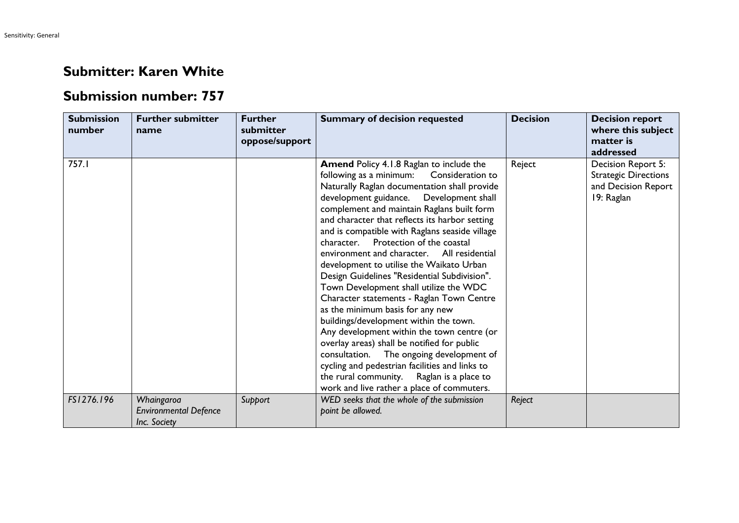## **Submitter: Karen White**

## **Submission number: 757**

| <b>Submission</b><br>number | <b>Further submitter</b><br>name                           | <b>Further</b><br>submitter<br>oppose/support | <b>Summary of decision requested</b>                                                                                                                                                                                                                                                                                                                                                                                                                                                                                                                                                                                                                                                                                                                                                                                                                                                                                                                                                        | <b>Decision</b> | <b>Decision report</b><br>where this subject<br>matter is<br>addressed                 |
|-----------------------------|------------------------------------------------------------|-----------------------------------------------|---------------------------------------------------------------------------------------------------------------------------------------------------------------------------------------------------------------------------------------------------------------------------------------------------------------------------------------------------------------------------------------------------------------------------------------------------------------------------------------------------------------------------------------------------------------------------------------------------------------------------------------------------------------------------------------------------------------------------------------------------------------------------------------------------------------------------------------------------------------------------------------------------------------------------------------------------------------------------------------------|-----------------|----------------------------------------------------------------------------------------|
| 757.I                       |                                                            |                                               | <b>Amend Policy 4.1.8 Raglan to include the</b><br>following as a minimum:<br>Consideration to<br>Naturally Raglan documentation shall provide<br>development guidance. Development shall<br>complement and maintain Raglans built form<br>and character that reflects its harbor setting<br>and is compatible with Raglans seaside village<br>Protection of the coastal<br>character.<br>environment and character. All residential<br>development to utilise the Waikato Urban<br>Design Guidelines "Residential Subdivision".<br>Town Development shall utilize the WDC<br>Character statements - Raglan Town Centre<br>as the minimum basis for any new<br>buildings/development within the town.<br>Any development within the town centre (or<br>overlay areas) shall be notified for public<br>consultation. The ongoing development of<br>cycling and pedestrian facilities and links to<br>the rural community. Raglan is a place to<br>work and live rather a place of commuters. | Reject          | Decision Report 5:<br><b>Strategic Directions</b><br>and Decision Report<br>19: Raglan |
| FS1276.196                  | Whaingaroa<br><b>Environmental Defence</b><br>Inc. Society | Support                                       | WED seeks that the whole of the submission<br>point be allowed.                                                                                                                                                                                                                                                                                                                                                                                                                                                                                                                                                                                                                                                                                                                                                                                                                                                                                                                             | Reject          |                                                                                        |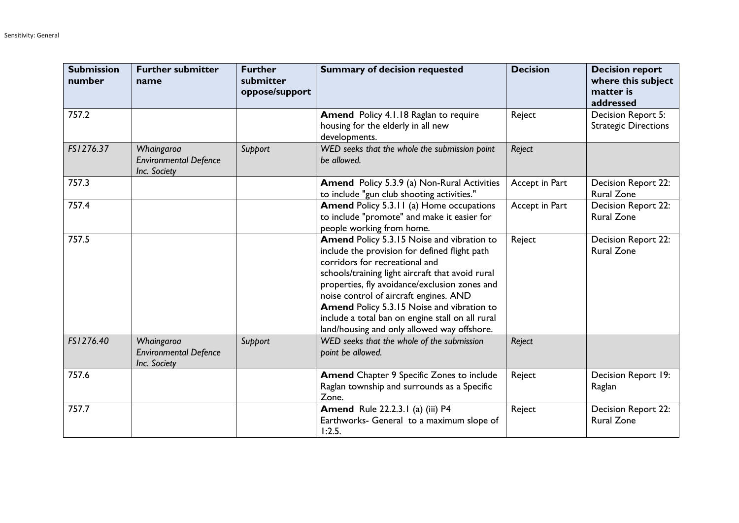| <b>Submission</b><br>number | <b>Further submitter</b><br>name                           | <b>Further</b><br>submitter<br>oppose/support | <b>Summary of decision requested</b>                                                                                                                                                                                                                                                                                                                                                                                          | <b>Decision</b> | <b>Decision report</b><br>where this subject<br>matter is<br>addressed |
|-----------------------------|------------------------------------------------------------|-----------------------------------------------|-------------------------------------------------------------------------------------------------------------------------------------------------------------------------------------------------------------------------------------------------------------------------------------------------------------------------------------------------------------------------------------------------------------------------------|-----------------|------------------------------------------------------------------------|
| 757.2                       |                                                            |                                               | Amend Policy 4.1.18 Raglan to require<br>housing for the elderly in all new<br>developments.                                                                                                                                                                                                                                                                                                                                  | Reject          | Decision Report 5:<br><b>Strategic Directions</b>                      |
| FS1276.37                   | Whaingaroa<br><b>Environmental Defence</b><br>Inc. Society | Support                                       | WED seeks that the whole the submission point<br>be allowed.                                                                                                                                                                                                                                                                                                                                                                  | Reject          |                                                                        |
| 757.3                       |                                                            |                                               | Amend Policy 5.3.9 (a) Non-Rural Activities<br>to include "gun club shooting activities."                                                                                                                                                                                                                                                                                                                                     | Accept in Part  | Decision Report 22:<br><b>Rural Zone</b>                               |
| 757.4                       |                                                            |                                               | <b>Amend Policy 5.3.11 (a) Home occupations</b><br>to include "promote" and make it easier for<br>people working from home.                                                                                                                                                                                                                                                                                                   | Accept in Part  | Decision Report 22:<br><b>Rural Zone</b>                               |
| 757.5                       |                                                            |                                               | Amend Policy 5.3.15 Noise and vibration to<br>include the provision for defined flight path<br>corridors for recreational and<br>schools/training light aircraft that avoid rural<br>properties, fly avoidance/exclusion zones and<br>noise control of aircraft engines. AND<br>Amend Policy 5.3.15 Noise and vibration to<br>include a total ban on engine stall on all rural<br>land/housing and only allowed way offshore. | Reject          | Decision Report 22:<br><b>Rural Zone</b>                               |
| FS1276.40                   | Whaingaroa<br><b>Environmental Defence</b><br>Inc. Society | Support                                       | WED seeks that the whole of the submission<br>point be allowed.                                                                                                                                                                                                                                                                                                                                                               | Reject          |                                                                        |
| 757.6                       |                                                            |                                               | <b>Amend Chapter 9 Specific Zones to include</b><br>Raglan township and surrounds as a Specific<br>Zone.                                                                                                                                                                                                                                                                                                                      | Reject          | Decision Report 19:<br>Raglan                                          |
| 757.7                       |                                                            |                                               | <b>Amend</b> Rule 22.2.3.1 (a) (iii) P4<br>Earthworks- General to a maximum slope of<br>1:2.5.                                                                                                                                                                                                                                                                                                                                | Reject          | Decision Report 22:<br><b>Rural Zone</b>                               |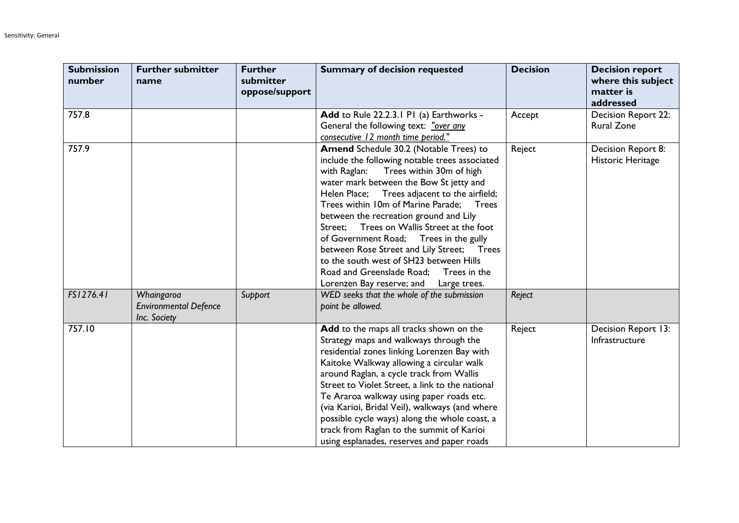| <b>Submission</b><br>number | <b>Further submitter</b><br>name                           | <b>Further</b><br>submitter<br>oppose/support | <b>Summary of decision requested</b>                                                                                                                                                                                                                                                                                                                                                                                                                                                                                                                                                                              | <b>Decision</b> | <b>Decision report</b><br>where this subject<br>matter is<br>addressed |
|-----------------------------|------------------------------------------------------------|-----------------------------------------------|-------------------------------------------------------------------------------------------------------------------------------------------------------------------------------------------------------------------------------------------------------------------------------------------------------------------------------------------------------------------------------------------------------------------------------------------------------------------------------------------------------------------------------------------------------------------------------------------------------------------|-----------------|------------------------------------------------------------------------|
| 757.8                       |                                                            |                                               | Add to Rule 22.2.3.1 P1 (a) Earthworks -<br>General the following text: "over any<br>consecutive 12 month time period."                                                                                                                                                                                                                                                                                                                                                                                                                                                                                           | Accept          | Decision Report 22:<br><b>Rural Zone</b>                               |
| 757.9                       |                                                            |                                               | <b>Amend</b> Schedule 30.2 (Notable Trees) to<br>include the following notable trees associated<br>Trees within 30m of high<br>with Raglan:<br>water mark between the Bow St jetty and<br>Helen Place; Trees adjacent to the airfield;<br>Trees within 10m of Marine Parade:<br><b>Trees</b><br>between the recreation ground and Lily<br>Trees on Wallis Street at the foot<br>Street:<br>of Government Road; Trees in the gully<br>between Rose Street and Lily Street; Trees<br>to the south west of SH23 between Hills<br>Road and Greenslade Road; Trees in the<br>Lorenzen Bay reserve; and<br>Large trees. | Reject          | Decision Report 8:<br>Historic Heritage                                |
| FS1276.41                   | Whaingaroa<br><b>Environmental Defence</b><br>Inc. Society | Support                                       | WED seeks that the whole of the submission<br>point be allowed.                                                                                                                                                                                                                                                                                                                                                                                                                                                                                                                                                   | Reject          |                                                                        |
| 757.10                      |                                                            |                                               | Add to the maps all tracks shown on the<br>Strategy maps and walkways through the<br>residential zones linking Lorenzen Bay with<br>Kaitoke Walkway allowing a circular walk<br>around Raglan, a cycle track from Wallis<br>Street to Violet Street, a link to the national<br>Te Araroa walkway using paper roads etc.<br>(via Karioi, Bridal Veil), walkways (and where<br>possible cycle ways) along the whole coast, a<br>track from Raglan to the summit of Karioi<br>using esplanades, reserves and paper roads                                                                                             | Reject          | Decision Report 13:<br>Infrastructure                                  |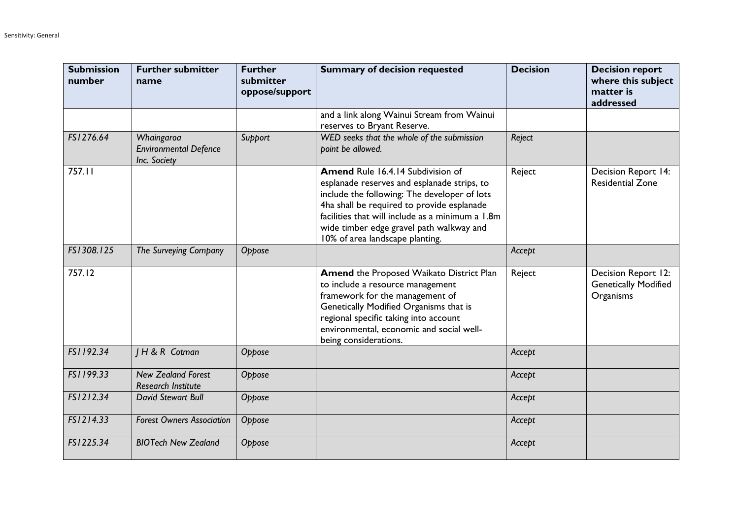| <b>Submission</b><br>number | <b>Further submitter</b><br>name                           | <b>Further</b><br>submitter<br>oppose/support | <b>Summary of decision requested</b>                                                                                                                                                                                                                                                                                     | <b>Decision</b> | <b>Decision report</b><br>where this subject<br>matter is<br>addressed |
|-----------------------------|------------------------------------------------------------|-----------------------------------------------|--------------------------------------------------------------------------------------------------------------------------------------------------------------------------------------------------------------------------------------------------------------------------------------------------------------------------|-----------------|------------------------------------------------------------------------|
|                             |                                                            |                                               | and a link along Wainui Stream from Wainui<br>reserves to Bryant Reserve.                                                                                                                                                                                                                                                |                 |                                                                        |
| FS1276.64                   | Whaingaroa<br><b>Environmental Defence</b><br>Inc. Society | Support                                       | WED seeks that the whole of the submission<br>point be allowed.                                                                                                                                                                                                                                                          | Reject          |                                                                        |
| 757.11                      |                                                            |                                               | <b>Amend Rule 16.4.14 Subdivision of</b><br>esplanade reserves and esplanade strips, to<br>include the following: The developer of lots<br>4ha shall be required to provide esplanade<br>facilities that will include as a minimum a 1.8m<br>wide timber edge gravel path walkway and<br>10% of area landscape planting. | Reject          | <b>Decision Report 14:</b><br><b>Residential Zone</b>                  |
| FS1308.125                  | The Surveying Company                                      | Oppose                                        |                                                                                                                                                                                                                                                                                                                          | Accept          |                                                                        |
| 757.12                      |                                                            |                                               | Amend the Proposed Waikato District Plan<br>to include a resource management<br>framework for the management of<br>Genetically Modified Organisms that is<br>regional specific taking into account<br>environmental, economic and social well-<br>being considerations.                                                  | Reject          | Decision Report 12:<br><b>Genetically Modified</b><br>Organisms        |
| FS1192.34                   | <b>IH &amp; R Cotman</b>                                   | Oppose                                        |                                                                                                                                                                                                                                                                                                                          | Accept          |                                                                        |
| FS1199.33                   | <b>New Zealand Forest</b><br><b>Research Institute</b>     | Oppose                                        |                                                                                                                                                                                                                                                                                                                          | Accept          |                                                                        |
| FS1212.34                   | David Stewart Bull                                         | Oppose                                        |                                                                                                                                                                                                                                                                                                                          | Accept          |                                                                        |
| FS1214.33                   | <b>Forest Owners Association</b>                           | Oppose                                        |                                                                                                                                                                                                                                                                                                                          | Accept          |                                                                        |
| FS1225.34                   | <b>BIOTech New Zealand</b>                                 | Oppose                                        |                                                                                                                                                                                                                                                                                                                          | Accept          |                                                                        |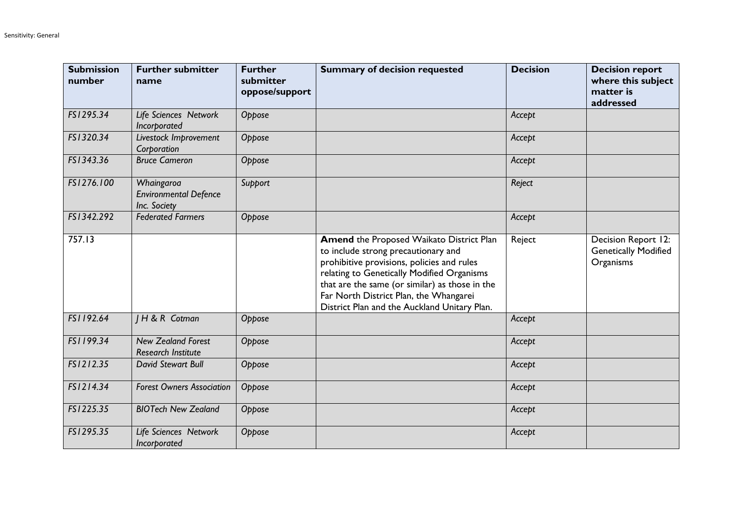| <b>Submission</b><br>number | <b>Further submitter</b><br>name                           | <b>Further</b><br>submitter<br>oppose/support | <b>Summary of decision requested</b>                                                                                                                                                                                                                                                                                           | <b>Decision</b> | <b>Decision report</b><br>where this subject<br>matter is<br>addressed |
|-----------------------------|------------------------------------------------------------|-----------------------------------------------|--------------------------------------------------------------------------------------------------------------------------------------------------------------------------------------------------------------------------------------------------------------------------------------------------------------------------------|-----------------|------------------------------------------------------------------------|
| FS1295.34                   | Life Sciences Network<br>Incorporated                      | Oppose                                        |                                                                                                                                                                                                                                                                                                                                | Accept          |                                                                        |
| FS1320.34                   | Livestock Improvement<br>Corporation                       | Oppose                                        |                                                                                                                                                                                                                                                                                                                                | Accept          |                                                                        |
| FS1343.36                   | <b>Bruce Cameron</b>                                       | Oppose                                        |                                                                                                                                                                                                                                                                                                                                | Accept          |                                                                        |
| FS1276.100                  | Whaingaroa<br><b>Environmental Defence</b><br>Inc. Society | Support                                       |                                                                                                                                                                                                                                                                                                                                | Reject          |                                                                        |
| FS1342.292                  | <b>Federated Farmers</b>                                   | Oppose                                        |                                                                                                                                                                                                                                                                                                                                | Accept          |                                                                        |
| 757.13                      |                                                            |                                               | <b>Amend the Proposed Waikato District Plan</b><br>to include strong precautionary and<br>prohibitive provisions, policies and rules<br>relating to Genetically Modified Organisms<br>that are the same (or similar) as those in the<br>Far North District Plan, the Whangarei<br>District Plan and the Auckland Unitary Plan. | Reject          | Decision Report 12:<br><b>Genetically Modified</b><br>Organisms        |
| FS1192.64                   | H & R Cotman                                               | Oppose                                        |                                                                                                                                                                                                                                                                                                                                | Accept          |                                                                        |
| FS1199.34                   | <b>New Zealand Forest</b><br><b>Research Institute</b>     | Oppose                                        |                                                                                                                                                                                                                                                                                                                                | Accept          |                                                                        |
| FS1212.35                   | <b>David Stewart Bull</b>                                  | Oppose                                        |                                                                                                                                                                                                                                                                                                                                | Accept          |                                                                        |
| FS1214.34                   | <b>Forest Owners Association</b>                           | Oppose                                        |                                                                                                                                                                                                                                                                                                                                | Accept          |                                                                        |
| FS1225.35                   | <b>BIOTech New Zealand</b>                                 | Oppose                                        |                                                                                                                                                                                                                                                                                                                                | Accept          |                                                                        |
| FS1295.35                   | Life Sciences Network<br>Incorporated                      | Oppose                                        |                                                                                                                                                                                                                                                                                                                                | Accept          |                                                                        |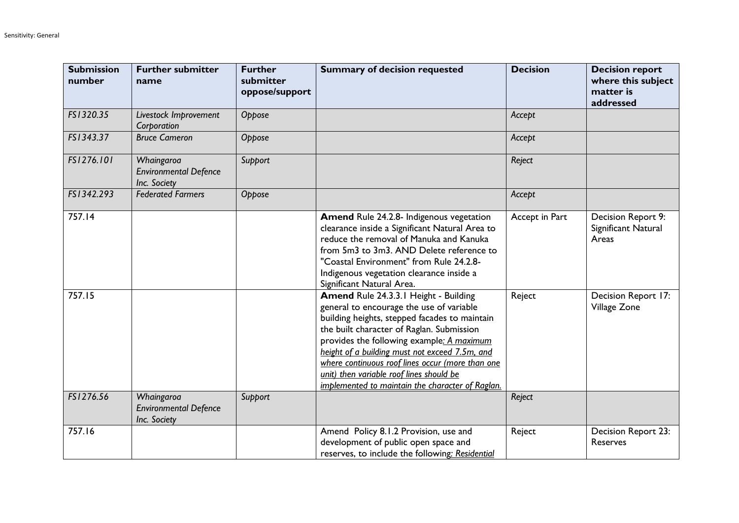| <b>Submission</b><br>number | <b>Further submitter</b><br>name                           | <b>Further</b><br>submitter<br>oppose/support | <b>Summary of decision requested</b>                                                                                                                                                                                                                                                                                                                                                                                               | <b>Decision</b> | <b>Decision report</b><br>where this subject<br>matter is<br>addressed |
|-----------------------------|------------------------------------------------------------|-----------------------------------------------|------------------------------------------------------------------------------------------------------------------------------------------------------------------------------------------------------------------------------------------------------------------------------------------------------------------------------------------------------------------------------------------------------------------------------------|-----------------|------------------------------------------------------------------------|
| FS1320.35                   | Livestock Improvement<br>Corporation                       | Oppose                                        |                                                                                                                                                                                                                                                                                                                                                                                                                                    | Accept          |                                                                        |
| FS1343.37                   | <b>Bruce Cameron</b>                                       | Oppose                                        |                                                                                                                                                                                                                                                                                                                                                                                                                                    | Accept          |                                                                        |
| FS1276.101                  | Whaingaroa<br><b>Environmental Defence</b><br>Inc. Society | Support                                       |                                                                                                                                                                                                                                                                                                                                                                                                                                    | Reject          |                                                                        |
| FS1342.293                  | <b>Federated Farmers</b>                                   | Oppose                                        |                                                                                                                                                                                                                                                                                                                                                                                                                                    | Accept          |                                                                        |
| 757.14                      |                                                            |                                               | <b>Amend Rule 24.2.8- Indigenous vegetation</b><br>clearance inside a Significant Natural Area to<br>reduce the removal of Manuka and Kanuka<br>from 5m3 to 3m3. AND Delete reference to<br>"Coastal Environment" from Rule 24.2.8-<br>Indigenous vegetation clearance inside a<br>Significant Natural Area.                                                                                                                       | Accept in Part  | Decision Report 9:<br>Significant Natural<br>Areas                     |
| 757.15                      |                                                            |                                               | Amend Rule 24.3.3.1 Height - Building<br>general to encourage the use of variable<br>building heights, stepped facades to maintain<br>the built character of Raglan. Submission<br>provides the following example: A maximum<br>height of a building must not exceed 7.5m, and<br>where continuous roof lines occur (more than one<br>unit) then variable roof lines should be<br>implemented to maintain the character of Raglan. | Reject          | Decision Report 17:<br>Village Zone                                    |
| FS1276.56                   | Whaingaroa<br><b>Environmental Defence</b><br>Inc. Society | Support                                       |                                                                                                                                                                                                                                                                                                                                                                                                                                    | Reject          |                                                                        |
| 757.16                      |                                                            |                                               | Amend Policy 8.1.2 Provision, use and<br>development of public open space and<br>reserves, to include the following: Residential                                                                                                                                                                                                                                                                                                   | Reject          | Decision Report 23:<br>Reserves                                        |